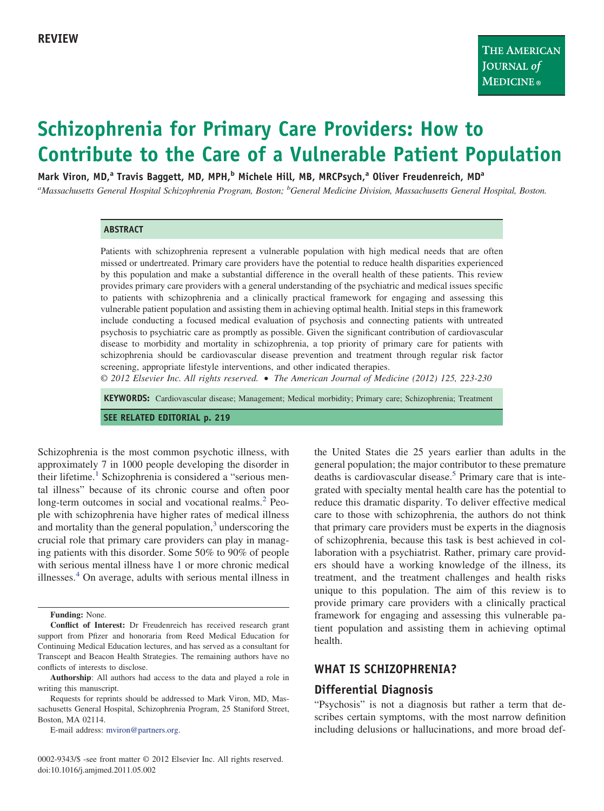# **Schizophrenia for Primary Care Providers: How to Contribute to the Care of a Vulnerable Patient Population**

**Mark Viron, MD,<sup>a</sup> Travis Baggett, MD, MPH,<sup>b</sup> Michele Hill, MB, MRCPsych,<sup>a</sup> Oliver Freudenreich, MD<sup>a</sup>**

*a Massachusetts General Hospital Schizophrenia Program, Boston; <sup>b</sup> General Medicine Division, Massachusetts General Hospital, Boston.*

#### **ABSTRACT**

Patients with schizophrenia represent a vulnerable population with high medical needs that are often missed or undertreated. Primary care providers have the potential to reduce health disparities experienced by this population and make a substantial difference in the overall health of these patients. This review provides primary care providers with a general understanding of the psychiatric and medical issues specific to patients with schizophrenia and a clinically practical framework for engaging and assessing this vulnerable patient population and assisting them in achieving optimal health. Initial steps in this framework include conducting a focused medical evaluation of psychosis and connecting patients with untreated psychosis to psychiatric care as promptly as possible. Given the significant contribution of cardiovascular disease to morbidity and mortality in schizophrenia, a top priority of primary care for patients with schizophrenia should be cardiovascular disease prevention and treatment through regular risk factor screening, appropriate lifestyle interventions, and other indicated therapies.

*© 2012 Elsevier Inc. All rights reserved.* • *The American Journal of Medicine (2012) 125, 223-230*

**KEYWORDS:** Cardiovascular disease; Management; Medical morbidity; Primary care; Schizophrenia; Treatment

### **SEE RELATED EDITORIAL p. 219**

Schizophrenia is the most common psychotic illness, with approximately 7 in 1000 people developing the disorder in their lifetime.<sup>1</sup> Schizophrenia is considered a "serious mental illness" because of its chronic course and often poor long-term outcomes in social and vocational realms.<sup>[2](#page-6-1)</sup> People with schizophrenia have higher rates of medical illness and mortality than the general population, $3$  underscoring the crucial role that primary care providers can play in managing patients with this disorder. Some 50% to 90% of people with serious mental illness have 1 or more chronic medical illnesses[.4](#page-6-3) On average, adults with serious mental illness in

**Conflict of Interest:** Dr Freudenreich has received research grant support from Pfizer and honoraria from Reed Medical Education for Continuing Medical Education lectures, and has served as a consultant for Transcept and Beacon Health Strategies. The remaining authors have no conflicts of interests to disclose.

**Authorship**: All authors had access to the data and played a role in writing this manuscript.

Requests for reprints should be addressed to Mark Viron, MD, Massachusetts General Hospital, Schizophrenia Program, 25 Staniford Street, Boston, MA 02114.

E-mail address: [mviron@partners.org.](mailto:mviron@partners.org)

0002-9343/\$ -see front matter © 2012 Elsevier Inc. All rights reserved. doi:10.1016/j.amjmed.2011.05.002

the United States die 25 years earlier than adults in the general population; the major contributor to these premature deaths is cardiovascular disease.<sup>5</sup> Primary care that is integrated with specialty mental health care has the potential to reduce this dramatic disparity. To deliver effective medical care to those with schizophrenia, the authors do not think that primary care providers must be experts in the diagnosis of schizophrenia, because this task is best achieved in collaboration with a psychiatrist. Rather, primary care providers should have a working knowledge of the illness, its treatment, and the treatment challenges and health risks unique to this population. The aim of this review is to provide primary care providers with a clinically practical framework for engaging and assessing this vulnerable patient population and assisting them in achieving optimal health.

# **WHAT IS SCHIZOPHRENIA?**

## **Differential Diagnosis**

"Psychosis" is not a diagnosis but rather a term that describes certain symptoms, with the most narrow definition including delusions or hallucinations, and more broad def-

**Funding:** None.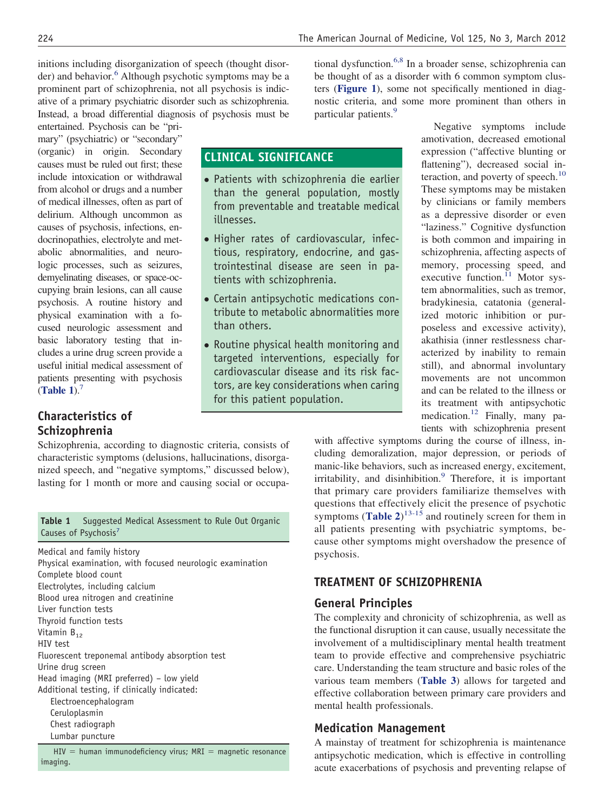entertained. Psychosis can be "primary" (psychiatric) or "secondary" (organic) in origin. Secondary causes must be ruled out first; these include intoxication or withdrawal from alcohol or drugs and a number of medical illnesses, often as part of delirium. Although uncommon as causes of psychosis, infections, endocrinopathies, electrolyte and metabolic abnormalities, and neurologic processes, such as seizures, demyelinating diseases, or space-occupying brain lesions, can all cause psychosis. A routine history and physical examination with a focused neurologic assessment and basic laboratory testing that includes a urine drug screen provide a useful initial medical assessment of patients presenting with psychosis (**[Table 1](#page-1-0)**)[.7](#page-6-6)

# **Characteristics of Schizophrenia**

Schizophrenia, according to diagnostic criteria, consists of characteristic symptoms (delusions, hallucinations, disorganized speech, and "negative symptoms," discussed below), lasting for 1 month or more and causing social or occupa-

<span id="page-1-0"></span>**Table 1** Suggested Medical Assessment to Rule Out Organic Causes of Psychosis<sup>7</sup>

Medical and family history Physical examination, with focused neurologic examination Complete blood count Electrolytes, including calcium Blood urea nitrogen and creatinine Liver function tests Thyroid function tests Vitamin  $B_{12}$ HIV test Fluorescent treponemal antibody absorption test Urine drug screen Head imaging (MRI preferred) – low yield Additional testing, if clinically indicated: Electroencephalogram Ceruloplasmin Chest radiograph Lumbar puncture

 $HIV =$  human immunodeficiency virus; MRI = magnetic resonance imaging.

tional dysfunction[.6,8](#page-6-5) In a broader sense, schizophrenia can be thought of as a disorder with 6 common symptom clusters (**[Figure 1](#page-2-0)**), some not specifically mentioned in diagnostic criteria, and some more prominent than others in particular patients.<sup>[9](#page-6-7)</sup>

# **CLINICAL SIGNIFICANCE**

- Patients with schizophrenia die earlier than the general population, mostly from preventable and treatable medical illnesses.
- Higher rates of cardiovascular, infectious, respiratory, endocrine, and gastrointestinal disease are seen in patients with schizophrenia.
- Certain antipsychotic medications contribute to metabolic abnormalities more than others.
- Routine physical health monitoring and targeted interventions, especially for cardiovascular disease and its risk factors, are key considerations when caring for this patient population.

Negative symptoms include amotivation, decreased emotional expression ("affective blunting or flattening"), decreased social interaction, and poverty of speech. $10$ These symptoms may be mistaken by clinicians or family members as a depressive disorder or even "laziness." Cognitive dysfunction is both common and impairing in schizophrenia, affecting aspects of memory, processing speed, and executive function.<sup>[11](#page-6-9)</sup> Motor system abnormalities, such as tremor, bradykinesia, catatonia (generalized motoric inhibition or purposeless and excessive activity), akathisia (inner restlessness characterized by inability to remain still), and abnormal involuntary

movements are not uncommon and can be related to the illness or its treatment with antipsychotic medication.<sup>12</sup> Finally, many patients with schizophrenia present

with affective symptoms during the course of illness, including demoralization, major depression, or periods of manic-like behaviors, such as increased energy, excitement, irritability, and disinhibition. $\frac{9}{10}$  $\frac{9}{10}$  $\frac{9}{10}$  Therefore, it is important that primary care providers familiarize themselves with questions that effectively elicit the presence of psychotic symptoms  $(Table 2)^{13-15}$  $(Table 2)^{13-15}$  $(Table 2)^{13-15}$  $(Table 2)^{13-15}$  $(Table 2)^{13-15}$  and routinely screen for them in all patients presenting with psychiatric symptoms, because other symptoms might overshadow the presence of psychosis.

# **TREATMENT OF SCHIZOPHRENIA**

# **General Principles**

The complexity and chronicity of schizophrenia, as well as the functional disruption it can cause, usually necessitate the involvement of a multidisciplinary mental health treatment team to provide effective and comprehensive psychiatric care. Understanding the team structure and basic roles of the various team members (**[Table 3](#page-2-2)**) allows for targeted and effective collaboration between primary care providers and mental health professionals.

# **Medication Management**

A mainstay of treatment for schizophrenia is maintenance antipsychotic medication, which is effective in controlling acute exacerbations of psychosis and preventing relapse of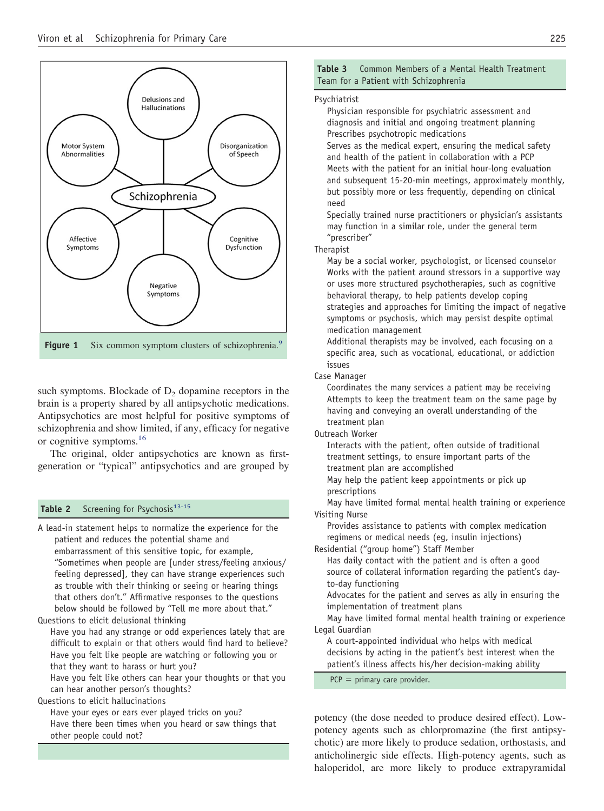

<span id="page-2-0"></span>such symptoms. Blockade of  $D_2$  dopamine receptors in the brain is a property shared by all antipsychotic medications. Antipsychotics are most helpful for positive symptoms of schizophrenia and show limited, if any, efficacy for negative or cognitive symptoms.[16](#page-6-12)

The original, older antipsychotics are known as firstgeneration or "typical" antipsychotics and are grouped by

## <span id="page-2-1"></span>Table 2 Screening for Psychosis<sup>13-15</sup>

A lead-in statement helps to normalize the experience for the patient and reduces the potential shame and embarrassment of this sensitive topic, for example, "Sometimes when people are [under stress/feeling anxious/ feeling depressed], they can have strange experiences such as trouble with their thinking or seeing or hearing things that others don't." Affirmative responses to the questions below should be followed by "Tell me more about that."

Questions to elicit delusional thinking

Have you had any strange or odd experiences lately that are difficult to explain or that others would find hard to believe? Have you felt like people are watching or following you or that they want to harass or hurt you?

Have you felt like others can hear your thoughts or that you can hear another person's thoughts?

Questions to elicit hallucinations

Have your eyes or ears ever played tricks on you? Have there been times when you heard or saw things that other people could not?

#### <span id="page-2-2"></span>**Table 3** Common Members of a Mental Health Treatment Team for a Patient with Schizophrenia

#### Psychiatrist

Physician responsible for psychiatric assessment and diagnosis and initial and ongoing treatment planning Prescribes psychotropic medications

Serves as the medical expert, ensuring the medical safety and health of the patient in collaboration with a PCP Meets with the patient for an initial hour-long evaluation and subsequent 15-20-min meetings, approximately monthly, but possibly more or less frequently, depending on clinical need

Specially trained nurse practitioners or physician's assistants may function in a similar role, under the general term "prescriber"

#### Therapist

May be a social worker, psychologist, or licensed counselor Works with the patient around stressors in a supportive way or uses more structured psychotherapies, such as cognitive behavioral therapy, to help patients develop coping strategies and approaches for limiting the impact of negative symptoms or psychosis, which may persist despite optimal medication management

Additional therapists may be involved, each focusing on a specific area, such as vocational, educational, or addiction issues

#### Case Manager

Coordinates the many services a patient may be receiving Attempts to keep the treatment team on the same page by having and conveying an overall understanding of the treatment plan

Outreach Worker

Interacts with the patient, often outside of traditional treatment settings, to ensure important parts of the treatment plan are accomplished

May help the patient keep appointments or pick up prescriptions

May have limited formal mental health training or experience Visiting Nurse

Provides assistance to patients with complex medication regimens or medical needs (eg, insulin injections)

Residential ("group home") Staff Member

Has daily contact with the patient and is often a good source of collateral information regarding the patient's dayto-day functioning

Advocates for the patient and serves as ally in ensuring the implementation of treatment plans

May have limited formal mental health training or experience Legal Guardian

A court-appointed individual who helps with medical decisions by acting in the patient's best interest when the patient's illness affects his/her decision-making ability

 $PCP = primary$  care provider.

potency (the dose needed to produce desired effect). Lowpotency agents such as chlorpromazine (the first antipsychotic) are more likely to produce sedation, orthostasis, and anticholinergic side effects. High-potency agents, such as haloperidol, are more likely to produce extrapyramidal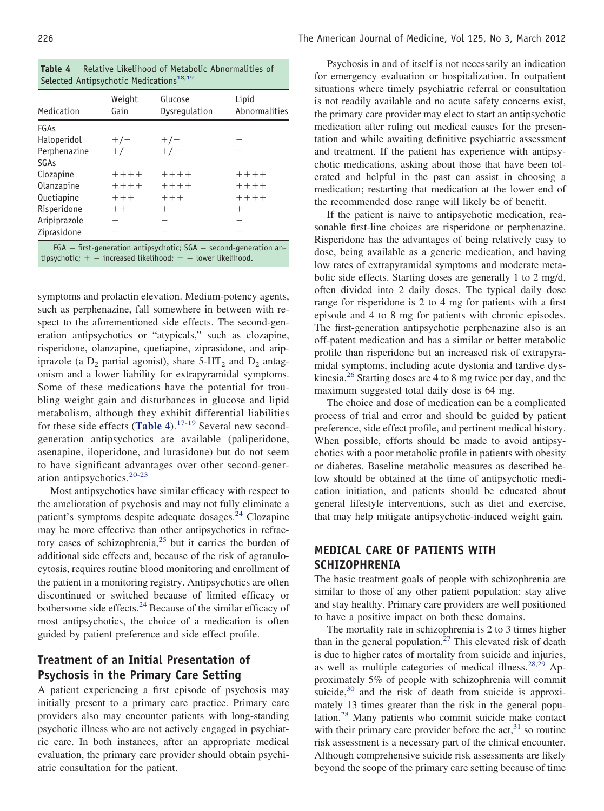| Medication   | Weight<br>Gain | Glucose<br>Dysregulation | Lipid<br>Abnormalities |
|--------------|----------------|--------------------------|------------------------|
| FGAs         |                |                          |                        |
| Haloperidol  | $+/-$          | $+/-$                    |                        |
| Perphenazine | $+/-$          | $+/-$                    |                        |
| SGAs         |                |                          |                        |
| Clozapine    | $+++++$        | $+++++$                  | $+++++$                |
| Olanzapine   | $++++$         | $++++$                   | $+++++$                |
| Quetiapine   | $+++$          | $+++$                    | $+++++$                |
| Risperidone  | $++$           | $^{+}$                   | $^+$                   |
| Aripiprazole |                |                          |                        |
| Ziprasidone  |                |                          |                        |

<span id="page-3-0"></span>**Table 4** Relative Likelihood of Metabolic Abnormalities of Selected Antipsychotic Medications<sup>18,19</sup>

| $FGA = first-generation$ antipsychotic; $SGA = second-generation$ an- |  |
|-----------------------------------------------------------------------|--|
| tipsychotic; $+$ = increased likelihood; - = lower likelihood.        |  |

symptoms and prolactin elevation. Medium-potency agents, such as perphenazine, fall somewhere in between with respect to the aforementioned side effects. The second-generation antipsychotics or "atypicals," such as clozapine, risperidone, olanzapine, quetiapine, ziprasidone, and aripiprazole (a  $D_2$  partial agonist), share 5-HT<sub>2</sub> and  $D_2$  antagonism and a lower liability for extrapyramidal symptoms. Some of these medications have the potential for troubling weight gain and disturbances in glucose and lipid metabolism, although they exhibit differential liabilities for these side effects (**[Table 4](#page-3-0)**).[17-19](#page-6-13) Several new secondgeneration antipsychotics are available (paliperidone, asenapine, iloperidone, and lurasidone) but do not seem to have significant advantages over other second-generation antipsychotics.[20-23](#page-6-14)

Most antipsychotics have similar efficacy with respect to the amelioration of psychosis and may not fully eliminate a patient's symptoms despite adequate dosages. $^{24}$  $^{24}$  $^{24}$  Clozapine may be more effective than other antipsychotics in refractory cases of schizophrenia,<sup>25</sup> but it carries the burden of additional side effects and, because of the risk of agranulocytosis, requires routine blood monitoring and enrollment of the patient in a monitoring registry. Antipsychotics are often discontinued or switched because of limited efficacy or bothersome side effects. $24$  Because of the similar efficacy of most antipsychotics, the choice of a medication is often guided by patient preference and side effect profile.

# **Treatment of an Initial Presentation of Psychosis in the Primary Care Setting**

A patient experiencing a first episode of psychosis may initially present to a primary care practice. Primary care providers also may encounter patients with long-standing psychotic illness who are not actively engaged in psychiatric care. In both instances, after an appropriate medical evaluation, the primary care provider should obtain psychiatric consultation for the patient.

Psychosis in and of itself is not necessarily an indication for emergency evaluation or hospitalization. In outpatient situations where timely psychiatric referral or consultation is not readily available and no acute safety concerns exist, the primary care provider may elect to start an antipsychotic medication after ruling out medical causes for the presentation and while awaiting definitive psychiatric assessment and treatment. If the patient has experience with antipsychotic medications, asking about those that have been tolerated and helpful in the past can assist in choosing a medication; restarting that medication at the lower end of the recommended dose range will likely be of benefit.

If the patient is naive to antipsychotic medication, reasonable first-line choices are risperidone or perphenazine. Risperidone has the advantages of being relatively easy to dose, being available as a generic medication, and having low rates of extrapyramidal symptoms and moderate metabolic side effects. Starting doses are generally 1 to 2 mg/d, often divided into 2 daily doses. The typical daily dose range for risperidone is 2 to 4 mg for patients with a first episode and 4 to 8 mg for patients with chronic episodes. The first-generation antipsychotic perphenazine also is an off-patent medication and has a similar or better metabolic profile than risperidone but an increased risk of extrapyramidal symptoms, including acute dystonia and tardive dyskinesia.[26](#page-6-17) Starting doses are 4 to 8 mg twice per day, and the maximum suggested total daily dose is 64 mg.

The choice and dose of medication can be a complicated process of trial and error and should be guided by patient preference, side effect profile, and pertinent medical history. When possible, efforts should be made to avoid antipsychotics with a poor metabolic profile in patients with obesity or diabetes. Baseline metabolic measures as described below should be obtained at the time of antipsychotic medication initiation, and patients should be educated about general lifestyle interventions, such as diet and exercise, that may help mitigate antipsychotic-induced weight gain.

# **MEDICAL CARE OF PATIENTS WITH SCHIZOPHRENIA**

The basic treatment goals of people with schizophrenia are similar to those of any other patient population: stay alive and stay healthy. Primary care providers are well positioned to have a positive impact on both these domains.

The mortality rate in schizophrenia is 2 to 3 times higher than in the general population.<sup>[27](#page-6-18)</sup> This elevated risk of death is due to higher rates of mortality from suicide and injuries, as well as multiple categories of medical illness.<sup>[28,29](#page-6-19)</sup> Approximately 5% of people with schizophrenia will commit suicide, $30$  and the risk of death from suicide is approximately 13 times greater than the risk in the general population.[28](#page-6-19) Many patients who commit suicide make contact with their primary care provider before the  $act<sub>1</sub><sup>31</sup>$  so routine risk assessment is a necessary part of the clinical encounter. Although comprehensive suicide risk assessments are likely beyond the scope of the primary care setting because of time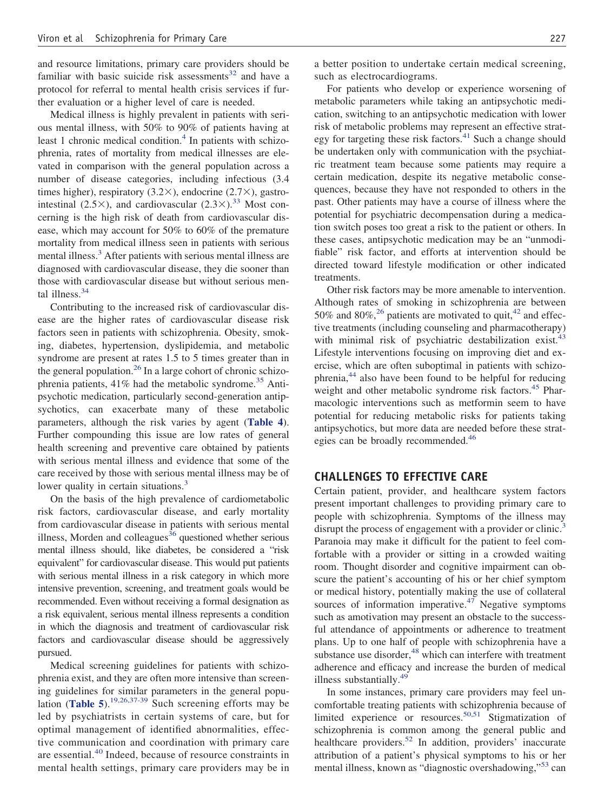and resource limitations, primary care providers should be familiar with basic suicide risk assessments<sup>[32](#page-6-23)</sup> and have a protocol for referral to mental health crisis services if further evaluation or a higher level of care is needed.

Medical illness is highly prevalent in patients with serious mental illness, with 50% to 90% of patients having at least 1 chronic medical condition.<sup>[4](#page-6-3)</sup> In patients with schizophrenia, rates of mortality from medical illnesses are elevated in comparison with the general population across a number of disease categories, including infectious (3.4 times higher), respiratory (3.2 $\times$ ), endocrine (2.7 $\times$ ), gastrointestinal (2.5 $\times$ ), and cardiovascular (2.3 $\times$ ).<sup>[33](#page-6-24)</sup> Most concerning is the high risk of death from cardiovascular disease, which may account for 50% to 60% of the premature mortality from medical illness seen in patients with serious mental illness.<sup>[3](#page-6-2)</sup> After patients with serious mental illness are diagnosed with cardiovascular disease, they die sooner than those with cardiovascular disease but without serious men-tal illness.<sup>[34](#page-6-25)</sup>

Contributing to the increased risk of cardiovascular disease are the higher rates of cardiovascular disease risk factors seen in patients with schizophrenia. Obesity, smoking, diabetes, hypertension, dyslipidemia, and metabolic syndrome are present at rates 1.5 to 5 times greater than in the general population.<sup>[26](#page-6-17)</sup> In a large cohort of chronic schizophrenia patients,  $41\%$  had the metabolic syndrome.<sup>[35](#page-6-26)</sup> Antipsychotic medication, particularly second-generation antipsychotics, can exacerbate many of these metabolic parameters, although the risk varies by agent (**[Table 4](#page-3-0)**). Further compounding this issue are low rates of general health screening and preventive care obtained by patients with serious mental illness and evidence that some of the care received by those with serious mental illness may be of lower quality in certain situations.<sup>3</sup>

On the basis of the high prevalence of cardiometabolic risk factors, cardiovascular disease, and early mortality from cardiovascular disease in patients with serious mental illness, Morden and colleagues  $36$  questioned whether serious mental illness should, like diabetes, be considered a "risk equivalent" for cardiovascular disease. This would put patients with serious mental illness in a risk category in which more intensive prevention, screening, and treatment goals would be recommended. Even without receiving a formal designation as a risk equivalent, serious mental illness represents a condition in which the diagnosis and treatment of cardiovascular risk factors and cardiovascular disease should be aggressively pursued.

Medical screening guidelines for patients with schizophrenia exist, and they are often more intensive than screening guidelines for similar parameters in the general population (**[Table 5](#page-5-0)**).[19,26,37-39](#page-6-28) Such screening efforts may be led by psychiatrists in certain systems of care, but for optimal management of identified abnormalities, effective communication and coordination with primary care are essential.[40](#page-7-0) Indeed, because of resource constraints in mental health settings, primary care providers may be in a better position to undertake certain medical screening, such as electrocardiograms.

For patients who develop or experience worsening of metabolic parameters while taking an antipsychotic medication, switching to an antipsychotic medication with lower risk of metabolic problems may represent an effective strat-egy for targeting these risk factors.<sup>[41](#page-7-1)</sup> Such a change should be undertaken only with communication with the psychiatric treatment team because some patients may require a certain medication, despite its negative metabolic consequences, because they have not responded to others in the past. Other patients may have a course of illness where the potential for psychiatric decompensation during a medication switch poses too great a risk to the patient or others. In these cases, antipsychotic medication may be an "unmodifiable" risk factor, and efforts at intervention should be directed toward lifestyle modification or other indicated treatments.

Other risk factors may be more amenable to intervention. Although rates of smoking in schizophrenia are between 50% and 80%,  $^{26}$  $^{26}$  $^{26}$  patients are motivated to quit,  $^{42}$  $^{42}$  $^{42}$  and effective treatments (including counseling and pharmacotherapy) with minimal risk of psychiatric destabilization exist. $43$ Lifestyle interventions focusing on improving diet and exercise, which are often suboptimal in patients with schizophrenia,[44](#page-7-4) also have been found to be helpful for reducing weight and other metabolic syndrome risk factors.<sup>[45](#page-7-5)</sup> Pharmacologic interventions such as metformin seem to have potential for reducing metabolic risks for patients taking antipsychotics, but more data are needed before these strategies can be broadly recommended.<sup>46</sup>

## **CHALLENGES TO EFFECTIVE CARE**

Certain patient, provider, and healthcare system factors present important challenges to providing primary care to people with schizophrenia. Symptoms of the illness may disrupt the process of engagement with a provider or clinic.<sup>3</sup> Paranoia may make it difficult for the patient to feel comfortable with a provider or sitting in a crowded waiting room. Thought disorder and cognitive impairment can obscure the patient's accounting of his or her chief symptom or medical history, potentially making the use of collateral sources of information imperative.<sup>[47](#page-7-7)</sup> Negative symptoms such as amotivation may present an obstacle to the successful attendance of appointments or adherence to treatment plans. Up to one half of people with schizophrenia have a substance use disorder,<sup>[48](#page-7-8)</sup> which can interfere with treatment adherence and efficacy and increase the burden of medical illness substantially.<sup>[49](#page-7-9)</sup>

In some instances, primary care providers may feel uncomfortable treating patients with schizophrenia because of limited experience or resources.<sup>50,51</sup> Stigmatization of schizophrenia is common among the general public and healthcare providers.<sup>[52](#page-7-11)</sup> In addition, providers' inaccurate attribution of a patient's physical symptoms to his or her mental illness, known as "diagnostic overshadowing,"[53](#page-7-12) can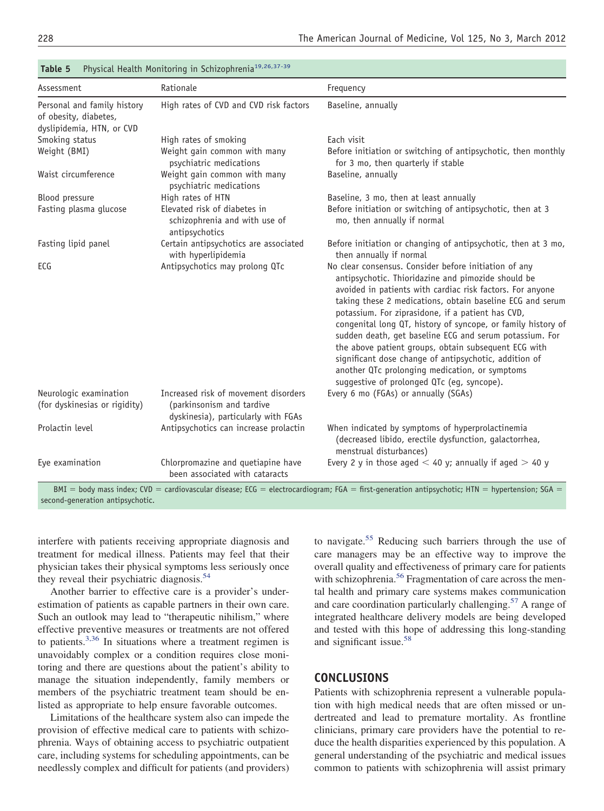| Assessment                                                                        | Rationale                                                                                                | Frequency                                                                                                                                                                                                                                                                                                                                                                                                                                                                                                                                                                                                                              |  |
|-----------------------------------------------------------------------------------|----------------------------------------------------------------------------------------------------------|----------------------------------------------------------------------------------------------------------------------------------------------------------------------------------------------------------------------------------------------------------------------------------------------------------------------------------------------------------------------------------------------------------------------------------------------------------------------------------------------------------------------------------------------------------------------------------------------------------------------------------------|--|
| Personal and family history<br>of obesity, diabetes,<br>dyslipidemia, HTN, or CVD | High rates of CVD and CVD risk factors                                                                   | Baseline, annually                                                                                                                                                                                                                                                                                                                                                                                                                                                                                                                                                                                                                     |  |
| Smoking status                                                                    | High rates of smoking                                                                                    | Each visit                                                                                                                                                                                                                                                                                                                                                                                                                                                                                                                                                                                                                             |  |
| Weight (BMI)                                                                      | Weight gain common with many<br>psychiatric medications                                                  | Before initiation or switching of antipsychotic, then monthly<br>for 3 mo, then quarterly if stable                                                                                                                                                                                                                                                                                                                                                                                                                                                                                                                                    |  |
| Waist circumference                                                               | Weight gain common with many<br>psychiatric medications                                                  | Baseline, annually                                                                                                                                                                                                                                                                                                                                                                                                                                                                                                                                                                                                                     |  |
| Blood pressure                                                                    | High rates of HTN                                                                                        | Baseline, 3 mo, then at least annually                                                                                                                                                                                                                                                                                                                                                                                                                                                                                                                                                                                                 |  |
| Fasting plasma glucose                                                            | Elevated risk of diabetes in<br>schizophrenia and with use of<br>antipsychotics                          | Before initiation or switching of antipsychotic, then at 3<br>mo, then annually if normal                                                                                                                                                                                                                                                                                                                                                                                                                                                                                                                                              |  |
| Fasting lipid panel                                                               | Certain antipsychotics are associated<br>with hyperlipidemia                                             | Before initiation or changing of antipsychotic, then at 3 mo,<br>then annually if normal                                                                                                                                                                                                                                                                                                                                                                                                                                                                                                                                               |  |
| ECG                                                                               | Antipsychotics may prolong QTc                                                                           | No clear consensus. Consider before initiation of any<br>antipsychotic. Thioridazine and pimozide should be<br>avoided in patients with cardiac risk factors. For anyone<br>taking these 2 medications, obtain baseline ECG and serum<br>potassium. For ziprasidone, if a patient has CVD,<br>congenital long QT, history of syncope, or family history of<br>sudden death, get baseline ECG and serum potassium. For<br>the above patient groups, obtain subsequent ECG with<br>significant dose change of antipsychotic, addition of<br>another QTc prolonging medication, or symptoms<br>suggestive of prolonged QTc (eg, syncope). |  |
| Neurologic examination<br>(for dyskinesias or rigidity)                           | Increased risk of movement disorders<br>(parkinsonism and tardive<br>dyskinesia), particularly with FGAs | Every 6 mo (FGAs) or annually (SGAs)                                                                                                                                                                                                                                                                                                                                                                                                                                                                                                                                                                                                   |  |
| Prolactin level                                                                   | Antipsychotics can increase prolactin                                                                    | When indicated by symptoms of hyperprolactinemia<br>(decreased libido, erectile dysfunction, galactorrhea,<br>menstrual disturbances)                                                                                                                                                                                                                                                                                                                                                                                                                                                                                                  |  |
| Eye examination                                                                   | Chlorpromazine and quetiapine have<br>been associated with cataracts                                     | Every 2 y in those aged $<$ 40 y; annually if aged $>$ 40 y                                                                                                                                                                                                                                                                                                                                                                                                                                                                                                                                                                            |  |

## <span id="page-5-0"></span>**Table 5** Physical Health Monitoring in Schizophrenia<sup>19,26,37-39</sup>

interfere with patients receiving appropriate diagnosis and treatment for medical illness. Patients may feel that their physician takes their physical symptoms less seriously once they reveal their psychiatric diagnosis.<sup>[54](#page-7-13)</sup>

second-generation antipsychotic.

Another barrier to effective care is a provider's underestimation of patients as capable partners in their own care. Such an outlook may lead to "therapeutic nihilism," where effective preventive measures or treatments are not offered to patients. $3,36$  In situations where a treatment regimen is unavoidably complex or a condition requires close monitoring and there are questions about the patient's ability to manage the situation independently, family members or members of the psychiatric treatment team should be enlisted as appropriate to help ensure favorable outcomes.

Limitations of the healthcare system also can impede the provision of effective medical care to patients with schizophrenia. Ways of obtaining access to psychiatric outpatient care, including systems for scheduling appointments, can be needlessly complex and difficult for patients (and providers) to navigate.[55](#page-7-14) Reducing such barriers through the use of care managers may be an effective way to improve the overall quality and effectiveness of primary care for patients with schizophrenia.<sup>[56](#page-7-15)</sup> Fragmentation of care across the mental health and primary care systems makes communication and care coordination particularly challenging.<sup>[57](#page-7-16)</sup> A range of integrated healthcare delivery models are being developed and tested with this hope of addressing this long-standing and significant issue.[58](#page-7-17)

## **CONCLUSIONS**

Patients with schizophrenia represent a vulnerable population with high medical needs that are often missed or undertreated and lead to premature mortality. As frontline clinicians, primary care providers have the potential to reduce the health disparities experienced by this population. A general understanding of the psychiatric and medical issues common to patients with schizophrenia will assist primary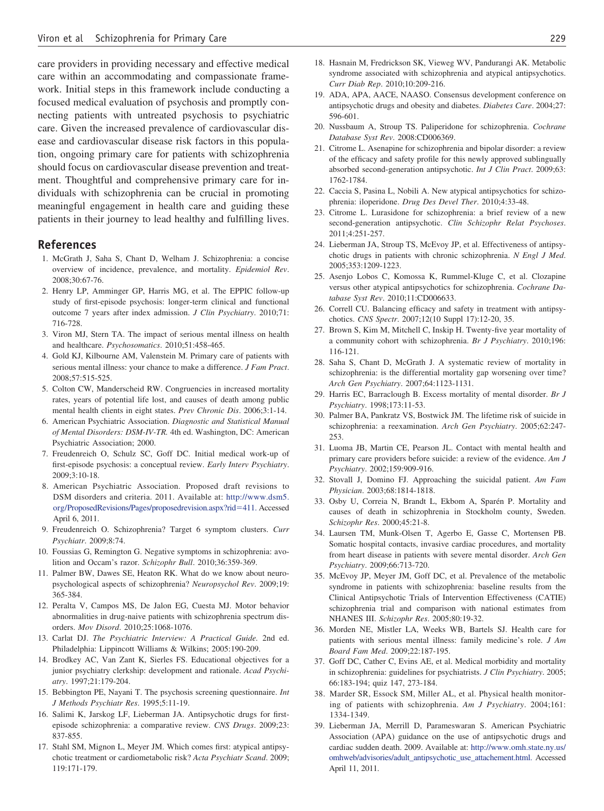care providers in providing necessary and effective medical care within an accommodating and compassionate framework. Initial steps in this framework include conducting a focused medical evaluation of psychosis and promptly connecting patients with untreated psychosis to psychiatric care. Given the increased prevalence of cardiovascular disease and cardiovascular disease risk factors in this population, ongoing primary care for patients with schizophrenia should focus on cardiovascular disease prevention and treatment. Thoughtful and comprehensive primary care for individuals with schizophrenia can be crucial in promoting meaningful engagement in health care and guiding these patients in their journey to lead healthy and fulfilling lives.

#### <span id="page-6-0"></span>**References**

- 1. McGrath J, Saha S, Chant D, Welham J. Schizophrenia: a concise overview of incidence, prevalence, and mortality. *Epidemiol Rev*. 2008;30:67-76.
- <span id="page-6-1"></span>2. Henry LP, Amminger GP, Harris MG, et al. The EPPIC follow-up study of first-episode psychosis: longer-term clinical and functional outcome 7 years after index admission. *J Clin Psychiatry*. 2010;71: 716-728.
- <span id="page-6-3"></span><span id="page-6-2"></span>3. Viron MJ, Stern TA. The impact of serious mental illness on health and healthcare. *Psychosomatics*. 2010;51:458-465.
- 4. Gold KJ, Kilbourne AM, Valenstein M. Primary care of patients with serious mental illness: your chance to make a difference. *J Fam Pract*. 2008;57:515-525.
- <span id="page-6-4"></span>5. Colton CW, Manderscheid RW. Congruencies in increased mortality rates, years of potential life lost, and causes of death among public mental health clients in eight states. *Prev Chronic Dis*. 2006;3:1-14.
- <span id="page-6-5"></span>6. American Psychiatric Association. *Diagnostic and Statistical Manual of Mental Disorders: DSM-IV-TR.* 4th ed. Washington, DC: American Psychiatric Association; 2000.
- <span id="page-6-6"></span>7. Freudenreich O, Schulz SC, Goff DC. Initial medical work-up of first-episode psychosis: a conceptual review. *Early Interv Psychiatry*. 2009;3:10-18.
- 8. American Psychiatric Association. Proposed draft revisions to DSM disorders and criteria. 2011. Available at: [http://www.dsm5.](http://www.dsm5.org/ProposedRevisions/Pages/proposedrevision.aspx?rid=411) [org/ProposedRevisions/Pages/proposedrevision.aspx?rid](http://www.dsm5.org/ProposedRevisions/Pages/proposedrevision.aspx?rid=411)=411. Accessed April 6, 2011.
- <span id="page-6-8"></span><span id="page-6-7"></span>9. Freudenreich O. Schizophrenia? Target 6 symptom clusters. *Curr Psychiatr*. 2009;8:74.
- <span id="page-6-9"></span>10. Foussias G, Remington G. Negative symptoms in schizophrenia: avolition and Occam's razor. *Schizophr Bull*. 2010;36:359-369.
- 11. Palmer BW, Dawes SE, Heaton RK. What do we know about neuropsychological aspects of schizophrenia? *Neuropsychol Rev*. 2009;19: 365-384.
- <span id="page-6-10"></span>12. Peralta V, Campos MS, De Jalon EG, Cuesta MJ. Motor behavior abnormalities in drug-naive patients with schizophrenia spectrum disorders. *Mov Disord*. 2010;25:1068-1076.
- <span id="page-6-11"></span>13. Carlat DJ. *The Psychiatric Interview: A Practical Guide.* 2nd ed. Philadelphia: Lippincott Williams & Wilkins; 2005:190-209.
- 14. Brodkey AC, Van Zant K, Sierles FS. Educational objectives for a junior psychiatry clerkship: development and rationale. *Acad Psychiatry*. 1997;21:179-204.
- <span id="page-6-12"></span>15. Bebbington PE, Nayani T. The psychosis screening questionnaire. *Int J Methods Psychiatr Res*. 1995;5:11-19.
- 16. Salimi K, Jarskog LF, Lieberman JA. Antipsychotic drugs for firstepisode schizophrenia: a comparative review. *CNS Drugs*. 2009;23: 837-855.
- <span id="page-6-13"></span>17. Stahl SM, Mignon L, Meyer JM. Which comes first: atypical antipsychotic treatment or cardiometabolic risk? *Acta Psychiatr Scand*. 2009; 119:171-179.
- <span id="page-6-22"></span>18. Hasnain M, Fredrickson SK, Vieweg WV, Pandurangi AK. Metabolic syndrome associated with schizophrenia and atypical antipsychotics. *Curr Diab Rep*. 2010;10:209-216.
- <span id="page-6-28"></span>19. ADA, APA, AACE, NAASO. Consensus development conference on antipsychotic drugs and obesity and diabetes. *Diabetes Care*. 2004;27: 596-601.
- <span id="page-6-14"></span>20. Nussbaum A, Stroup TS. Paliperidone for schizophrenia. *Cochrane Database Syst Rev*. 2008:CD006369.
- 21. Citrome L. Asenapine for schizophrenia and bipolar disorder: a review of the efficacy and safety profile for this newly approved sublingually absorbed second-generation antipsychotic. *Int J Clin Pract*. 2009;63: 1762-1784.
- 22. Caccia S, Pasina L, Nobili A. New atypical antipsychotics for schizophrenia: iloperidone. *Drug Des Devel Ther*. 2010;4:33-48.
- 23. Citrome L. Lurasidone for schizophrenia: a brief review of a new second-generation antipsychotic. *Clin Schizophr Relat Psychoses*. 2011;4:251-257.
- <span id="page-6-15"></span>24. Lieberman JA, Stroup TS, McEvoy JP, et al. Effectiveness of antipsychotic drugs in patients with chronic schizophrenia. *N Engl J Med*. 2005;353:1209-1223.
- <span id="page-6-16"></span>25. Asenjo Lobos C, Komossa K, Rummel-Kluge C, et al. Clozapine versus other atypical antipsychotics for schizophrenia. *Cochrane Database Syst Rev*. 2010;11:CD006633.
- <span id="page-6-18"></span><span id="page-6-17"></span>26. Correll CU. Balancing efficacy and safety in treatment with antipsychotics. *CNS Spectr*. 2007;12(10 Suppl 17):12-20, 35.
- 27. Brown S, Kim M, Mitchell C, Inskip H. Twenty-five year mortality of a community cohort with schizophrenia. *Br J Psychiatry*. 2010;196: 116-121.
- <span id="page-6-19"></span>28. Saha S, Chant D, McGrath J. A systematic review of mortality in schizophrenia: is the differential mortality gap worsening over time? *Arch Gen Psychiatry*. 2007;64:1123-1131.
- <span id="page-6-20"></span>29. Harris EC, Barraclough B. Excess mortality of mental disorder. *Br J Psychiatry*. 1998;173:11-53.
- 30. Palmer BA, Pankratz VS, Bostwick JM. The lifetime risk of suicide in schizophrenia: a reexamination. *Arch Gen Psychiatry*. 2005;62:247- 253.
- <span id="page-6-21"></span>31. Luoma JB, Martin CE, Pearson JL. Contact with mental health and primary care providers before suicide: a review of the evidence. *Am J Psychiatry*. 2002;159:909-916.
- <span id="page-6-24"></span><span id="page-6-23"></span>32. Stovall J, Domino FJ. Approaching the suicidal patient. *Am Fam Physician*. 2003;68:1814-1818.
- 33. Osby U, Correia N, Brandt L, Ekbom A, Sparén P. Mortality and causes of death in schizophrenia in Stockholm county, Sweden. *Schizophr Res*. 2000;45:21-8.
- <span id="page-6-25"></span>34. Laursen TM, Munk-Olsen T, Agerbo E, Gasse C, Mortensen PB. Somatic hospital contacts, invasive cardiac procedures, and mortality from heart disease in patients with severe mental disorder. *Arch Gen Psychiatry*. 2009;66:713-720.
- <span id="page-6-26"></span>35. McEvoy JP, Meyer JM, Goff DC, et al. Prevalence of the metabolic syndrome in patients with schizophrenia: baseline results from the Clinical Antipsychotic Trials of Intervention Effectiveness (CATIE) schizophrenia trial and comparison with national estimates from NHANES III. *Schizophr Res*. 2005;80:19-32.
- <span id="page-6-27"></span>36. Morden NE, Mistler LA, Weeks WB, Bartels SJ. Health care for patients with serious mental illness: family medicine's role. *J Am Board Fam Med*. 2009;22:187-195.
- 37. Goff DC, Cather C, Evins AE, et al. Medical morbidity and mortality in schizophrenia: guidelines for psychiatrists. *J Clin Psychiatry*. 2005; 66:183-194; quiz 147, 273-184.
- 38. Marder SR, Essock SM, Miller AL, et al. Physical health monitoring of patients with schizophrenia. *Am J Psychiatry*. 2004;161: 1334-1349.
- 39. Lieberman JA, Merrill D, Parameswaran S. American Psychiatric Association (APA) guidance on the use of antipsychotic drugs and cardiac sudden death. 2009. Available at: [http://www.omh.state.ny.us/](http://www.omh.state.ny.us/omhweb/advisories/adult_antipsychotic_use_attachement.html) [omhweb/advisories/adult\\_antipsychotic\\_use\\_attachement.html.](http://www.omh.state.ny.us/omhweb/advisories/adult_antipsychotic_use_attachement.html) Accessed April 11, 2011.